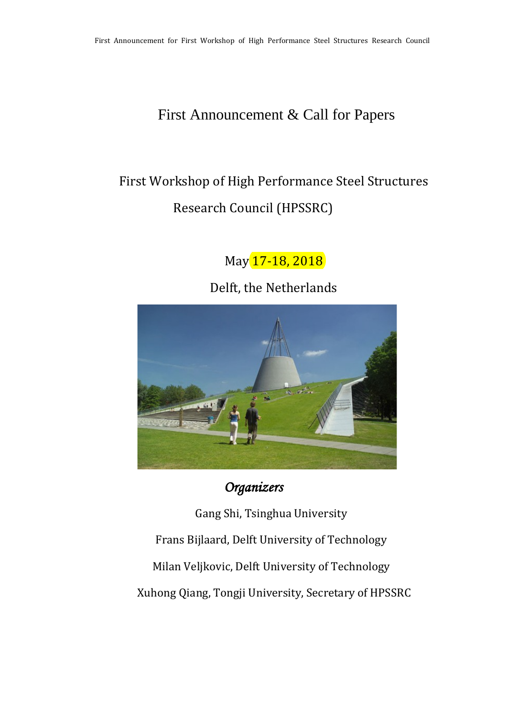## First Announcement & Call for Papers

# First Workshop of High Performance Steel Structures Research Council (HPSSRC)

May 17-18, 2018

Delft, the Netherlands



*Organizers* 

Gang Shi, Tsinghua University Frans Bijlaard, Delft University of Technology Milan Veljkovic, Delft University of Technology Xuhong Qiang, Tongji University, Secretary of HPSSRC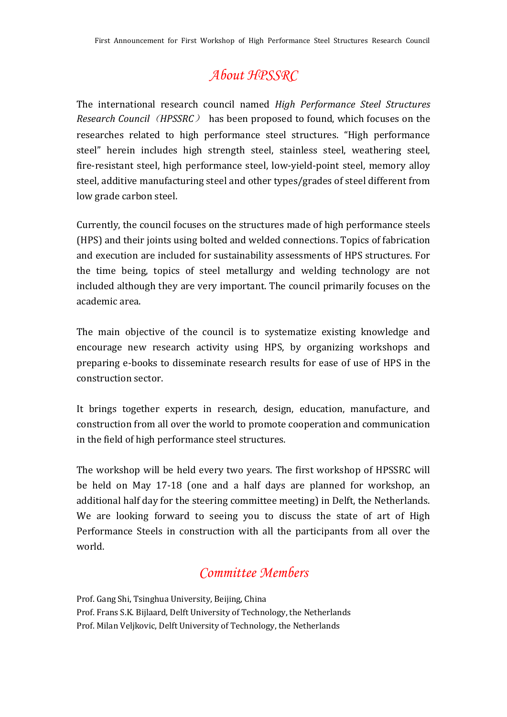## *About HPSSRC*

The international research council named *High Performance Steel Structures Research Council* (*HPSSRC*) has been proposed to found, which focuses on the researches related to high performance steel structures. "High performance steel" herein includes high strength steel, stainless steel, weathering steel, fire-resistant steel, high performance steel, low-yield-point steel, memory alloy steel, additive manufacturing steel and other types/grades of steel different from low grade carbon steel.

Currently, the council focuses on the structures made of high performance steels (HPS) and their joints using bolted and welded connections. Topics of fabrication and execution are included for sustainability assessments of HPS structures. For the time being, topics of steel metallurgy and welding technology are not included although they are very important. The council primarily focuses on the academic area.

The main objective of the council is to systematize existing knowledge and encourage new research activity using HPS, by organizing workshops and preparing e-books to disseminate research results for ease of use of HPS in the construction sector.

It brings together experts in research, design, education, manufacture, and construction from all over the world to promote cooperation and communication in the field of high performance steel structures.

The workshop will be held every two years. The first workshop of HPSSRC will be held on May 17-18 (one and a half days are planned for workshop, an additional half day for the steering committee meeting) in Delft, the Netherlands. We are looking forward to seeing you to discuss the state of art of High Performance Steels in construction with all the participants from all over the world.

### *Committee Members*

Prof. Gang Shi, Tsinghua University, Beijing, China Prof. Frans S.K. Bijlaard, Delft University of Technology, the Netherlands Prof. Milan Veljkovic, Delft University of Technology, the Netherlands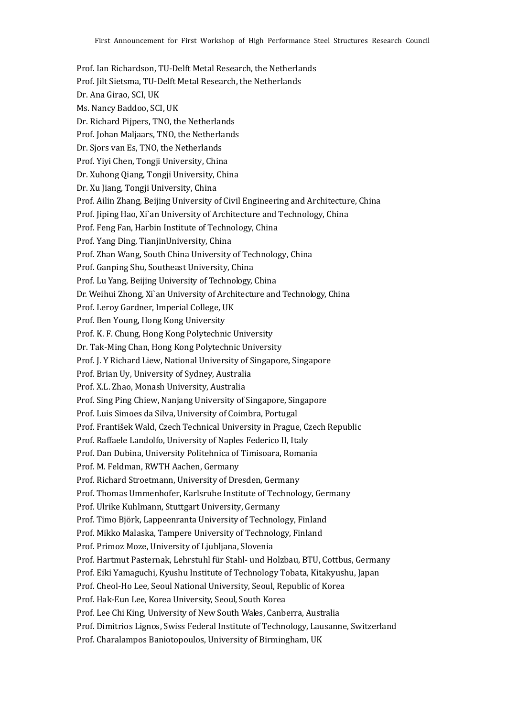Prof. Ian Richardson, TU-Delft Metal Research, the Netherlands Prof. Jilt Sietsma, TU-Delft Metal Research, the Netherlands Dr. Ana Girao, SCI, UK Ms. Nancy Baddoo, SCI, UK Dr. Richard Pijpers, TNO, the Netherlands Prof. Johan Maljaars, TNO, the Netherlands Dr. Sjors van Es, TNO, the Netherlands Prof. Yiyi Chen, Tongji University, China Dr. Xuhong Qiang, Tongji University, China Dr. Xu Jiang, Tongji University, China Prof. Ailin Zhang, Beijing University of Civil Engineering and Architecture, China Prof. Jiping Hao, Xi`an University of Architecture and Technology, China Prof. Feng Fan, Harbin Institute of Technology, China Prof. Yang Ding, TianjinUniversity, China Prof. Zhan Wang, South China University of Technology, China Prof. Ganping Shu, Southeast University, China Prof. Lu Yang, Beijing University of Technology, China Dr. Weihui Zhong, Xi`an University of Architecture and Technology, China Prof. Leroy Gardner, Imperial College, UK Prof. Ben Young, Hong Kong University Prof. K. F. Chung, Hong Kong Polytechnic University Dr. Tak-Ming Chan, Hong Kong Polytechnic University Prof. J. Y Richard Liew, National University of Singapore, Singapore Prof. Brian Uy, University of Sydney, Australia Prof. X.L. Zhao, Monash University, Australia Prof. Sing Ping Chiew, Nanjang University of Singapore, Singapore Prof. Luis Simoes da Silva, University of Coimbra, Portugal Prof. František Wald, Czech Technical University in Prague, Czech Republic Prof. Raffaele Landolfo, University of Naples Federico II, Italy Prof. Dan Dubina, University Politehnica of Timisoara, Romania Prof. M. Feldman, RWTH Aachen, Germany Prof. Richard Stroetmann, University of Dresden, Germany Prof. Thomas Ummenhofer, Karlsruhe Institute of Technology, Germany Prof. Ulrike Kuhlmann, Stuttgart University, Germany Prof. Timo Björk, Lappeenranta University of Technology, Finland Prof. Mikko Malaska, Tampere University of Technology, Finland Prof. Primoz Moze, University of Ljubljana, Slovenia Prof. Hartmut Pasternak, Lehrstuhl für Stahl- und Holzbau, BTU, Cottbus, Germany Prof. Eiki Yamaguchi, Kyushu Institute of Technology Tobata, Kitakyushu, Japan Prof. Cheol-Ho Lee, Seoul National University, Seoul, Republic of Korea Prof. Hak-Eun Lee, Korea University, Seoul, South Korea Prof. Lee Chi King, University of New South Wales, Canberra, Australia Prof. Dimitrios Lignos, Swiss Federal Institute of Technology, Lausanne, Switzerland Prof. Charalampos Baniotopoulos, University of Birmingham, UK